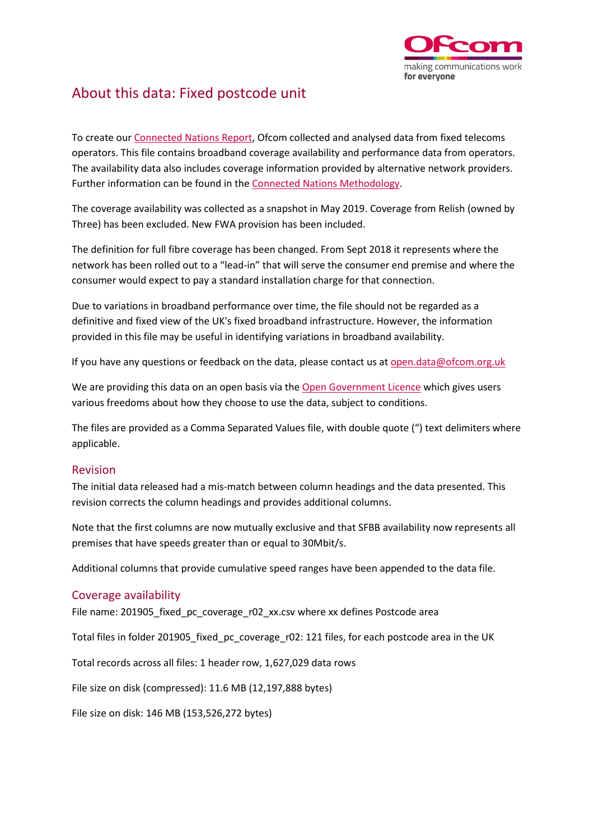

## About this data: Fixed postcode unit

To create ou[r Connected Nations Report,](https://www.ofcom.org.uk/research-and-data/multi-sector-research/infrastructure-research/connected-nations-update-summer-2019) Ofcom collected and analysed data from fixed telecoms operators. This file contains broadband coverage availability and performance data from operators. The availability data also includes coverage information provided by alternative network providers. Further information can be found in th[e Connected Nations Methodology.](https://www.ofcom.org.uk/research-and-data/multi-sector-research/infrastructure-research/connected-nations-2018/methodology)

The coverage availability was collected as a snapshot in May 2019. Coverage from Relish (owned by Three) has been excluded. New FWA provision has been included.

The definition for full fibre coverage has been changed. From Sept 2018 it represents where the network has been rolled out to a "lead-in" that will serve the consumer end premise and where the consumer would expect to pay a standard installation charge for that connection.

Due to variations in broadband performance over time, the file should not be regarded as a definitive and fixed view of the UK's fixed broadband infrastructure. However, the information provided in this file may be useful in identifying variations in broadband availability.

If you have any questions or feedback on the data, please contact us a[t open.data@ofcom.org.uk](mailto:open.data@ofcom.org.uk)

We are providing this data on an open basis via the [Open Government Licence](https://www.nationalarchives.gov.uk/doc/open-government-licence/version/3/) which gives users various freedoms about how they choose to use the data, subject to conditions.

The files are provided as a Comma Separated Values file, with double quote (") text delimiters where applicable.

## Revision

The initial data released had a mis-match between column headings and the data presented. This revision corrects the column headings and provides additional columns.

Note that the first columns are now mutually exclusive and that SFBB availability now represents all premises that have speeds greater than or equal to 30Mbit/s.

Additional columns that provide cumulative speed ranges have been appended to the data file.

## Coverage availability

File name: 201905\_fixed\_pc\_coverage\_r02\_xx.csv where xx defines Postcode area

Total files in folder 201905 fixed pc coverage r02: 121 files, for each postcode area in the UK

Total records across all files: 1 header row, 1,627,029 data rows

File size on disk (compressed): 11.6 MB (12,197,888 bytes)

File size on disk: 146 MB (153,526,272 bytes)